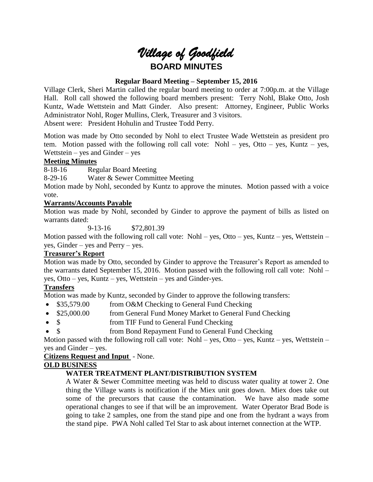# *Village of Goodfield* **BOARD MINUTES**

# **Regular Board Meeting – September 15, 2016**

Village Clerk, Sheri Martin called the regular board meeting to order at 7:00p.m. at the Village Hall. Roll call showed the following board members present: Terry Nohl, Blake Otto, Josh Kuntz, Wade Wettstein and Matt Ginder. Also present: Attorney, Engineer, Public Works Administrator Nohl, Roger Mullins, Clerk, Treasurer and 3 visitors.

Absent were: President Hohulin and Trustee Todd Perry.

Motion was made by Otto seconded by Nohl to elect Trustee Wade Wettstein as president pro tem. Motion passed with the following roll call vote: Nohl – yes, Otto – yes, Kuntz – yes, Wettstein – yes and Ginder – yes

# **Meeting Minutes**

8-18-16 Regular Board Meeting

8-29-16 Water & Sewer Committee Meeting

Motion made by Nohl, seconded by Kuntz to approve the minutes. Motion passed with a voice vote.

# **Warrants/Accounts Payable**

Motion was made by Nohl, seconded by Ginder to approve the payment of bills as listed on warrants dated:

9-13-16 \$72,801.39

Motion passed with the following roll call vote: Nohl – yes, Otto – yes, Kuntz – yes, Wettstein – yes, Ginder – yes and Perry – yes.

# **Treasurer's Report**

Motion was made by Otto, seconded by Ginder to approve the Treasurer's Report as amended to the warrants dated September 15, 2016. Motion passed with the following roll call vote: Nohl – yes, Otto – yes, Kuntz – yes, Wettstein – yes and Ginder-yes.

# **Transfers**

Motion was made by Kuntz, seconded by Ginder to approve the following transfers:

- \$35,579.00 from O&M Checking to General Fund Checking
- \$25,000.00 from General Fund Money Market to General Fund Checking
- \$ from TIF Fund to General Fund Checking
- \$ from Bond Repayment Fund to General Fund Checking

Motion passed with the following roll call vote: Nohl – yes, Otto – yes, Kuntz – yes, Wettstein – yes and Ginder – yes.

# **Citizens Request and Input** - None.

# **OLD BUSINESS**

# **WATER TREATMENT PLANT/DISTRIBUTION SYSTEM**

A Water & Sewer Committee meeting was held to discuss water quality at tower 2. One thing the Village wants is notification if the Miex unit goes down. Miex does take out some of the precursors that cause the contamination. We have also made some operational changes to see if that will be an improvement. Water Operator Brad Bode is going to take 2 samples, one from the stand pipe and one from the hydrant a ways from the stand pipe. PWA Nohl called Tel Star to ask about internet connection at the WTP.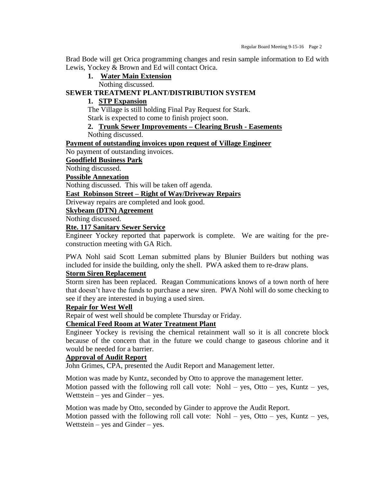Brad Bode will get Orica programming changes and resin sample information to Ed with Lewis, Yockey & Brown and Ed will contact Orica.

**1. Water Main Extension**

Nothing discussed.

## **SEWER TREATMENT PLANT/DISTRIBUTION SYSTEM**

## **1. STP Expansion**

The Village is still holding Final Pay Request for Stark.

Stark is expected to come to finish project soon.

# **2. Trunk Sewer Improvements – Clearing Brush - Easements**

Nothing discussed.

#### **Payment of outstanding invoices upon request of Village Engineer**

No payment of outstanding invoices.

#### **Goodfield Business Park**

Nothing discussed.

**Possible Annexation**

Nothing discussed. This will be taken off agenda.

#### **East Robinson Street – Right of Way/Driveway Repairs**

Driveway repairs are completed and look good.

# **Skybeam (DTN) Agreement**

Nothing discussed.

#### **Rte. 117 Sanitary Sewer Service**

Engineer Yockey reported that paperwork is complete. We are waiting for the preconstruction meeting with GA Rich.

PWA Nohl said Scott Leman submitted plans by Blunier Builders but nothing was included for inside the building, only the shell. PWA asked them to re-draw plans.

# **Storm Siren Replacement**

Storm siren has been replaced. Reagan Communications knows of a town north of here that doesn't have the funds to purchase a new siren. PWA Nohl will do some checking to see if they are interested in buying a used siren.

#### **Repair for West Well**

Repair of west well should be complete Thursday or Friday.

# **Chemical Feed Room at Water Treatment Plant**

Engineer Yockey is revising the chemical retainment wall so it is all concrete block because of the concern that in the future we could change to gaseous chlorine and it would be needed for a barrier.

#### **Approval of Audit Report**

John Grimes, CPA, presented the Audit Report and Management letter.

Motion was made by Kuntz, seconded by Otto to approve the management letter.

Motion passed with the following roll call vote: Nohl – yes, Otto – yes, Kuntz – yes, Wettstein – yes and Ginder – yes.

Motion was made by Otto, seconded by Ginder to approve the Audit Report. Motion passed with the following roll call vote: Nohl – yes, Otto – yes, Kuntz – yes, Wettstein – yes and Ginder – yes.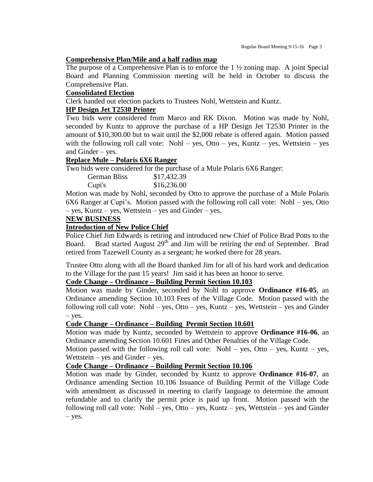#### **Comprehensive Plan/Mile and a half radius map**

The purpose of a Comprehensive Plan is to enforce the 1 ½ zoning map. A joint Special Board and Planning Commission meeting will be held in October to discuss the Comprehensive Plan.

#### **Consolidated Election**

Clerk handed out election packets to Trustees Nohl, Wettstein and Kuntz.

## **HP Design Jet T2530 Printer**

Two bids were considered from Marco and RK Dixon. Motion was made by Nohl, seconded by Kuntz to approve the purchase of a HP Design Jet T2530 Printer in the amount of \$10,300.00 but to wait until the \$2,000 rebate is offered again. Motion passed with the following roll call vote: Nohl – yes, Otto – yes, Kuntz – yes, Wettstein – yes and Ginder – yes.

# **Replace Mule – Polaris 6X6 Ranger**

Two bids were considered for the purchase of a Mule Polaris 6X6 Ranger:

| <b>German Bliss</b> | \$17,432.39 |
|---------------------|-------------|
| Cupi's              | \$16,236.00 |

Motion was made by Nohl, seconded by Otto to approve the purchase of a Mule Polaris 6X6 Ranger at Cupi's. Motion passed with the following roll call vote: Nohl – yes, Otto – yes, Kuntz – yes, Wettstein – yes and Ginder – yes.

#### **NEW BUSINESS**

#### **Introduction of New Police Chief**

Police Chief Jim Edwards is retiring and introduced new Chief of Police Brad Potts to the Board. Brad started August  $29<sup>th</sup>$  and Jim will be retiring the end of September. Brad retired from Tazewell County as a sergeant; he worked there for 28 years.

Trustee Otto along with all the Board thanked Jim for all of his hard work and dedication to the Village for the past 15 years! Jim said it has been an honor to serve.

# **Code Change – Ordinance – Building Permit Section 10.103**

Motion was made by Ginder, seconded by Nohl to approve **Ordinance #16-05**, an Ordinance amending Section 10.103 Fees of the Village Code. Motion passed with the following roll call vote: Nohl – yes, Otto – yes, Kuntz – yes, Wettstein – yes and Ginder – yes.

#### **Code Change – Ordinance – Building Permit Section 10.601**

Motion was made by Kuntz, seconded by Wettstein to approve **Ordinance #16-06**, an Ordinance amending Section 10.601 Fines and Other Penalties of the Village Code.

Motion passed with the following roll call vote: Nohl – yes, Otto – yes, Kuntz – yes, Wettstein – yes and Ginder – yes.

# **Code Change – Ordinance – Building Permit Section 10.106**

Motion was made by Ginder, seconded by Kuntz to approve **Ordinance #16-07**, an Ordinance amending Section 10.106 Issuance of Building Permit of the Village Code with amendment as discussed in meeting to clarify language to determine the amount refundable and to clarify the permit price is paid up front. Motion passed with the following roll call vote: Nohl – yes, Otto – yes, Kuntz – yes, Wettstein – yes and Ginder – yes.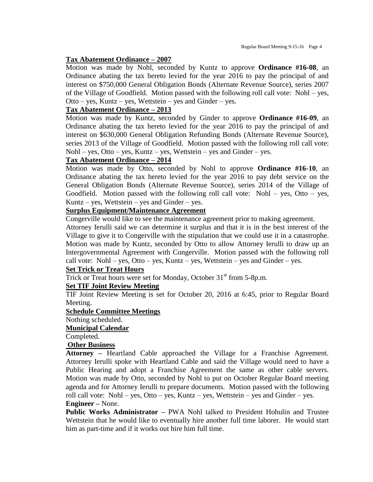#### **Tax Abatement Ordinance – 2007**

Motion was made by Nohl, seconded by Kuntz to approve **Ordinance #16-08**, an Ordinance abating the tax hereto levied for the year 2016 to pay the principal of and interest on \$750,000 General Obligation Bonds (Alternate Revenue Source), series 2007 of the Village of Goodfield. Motion passed with the following roll call vote: Nohl – yes, Otto – yes, Kuntz – yes, Wettstein – yes and Ginder – yes.

## **Tax Abatement Ordinance – 2013**

Motion was made by Kuntz, seconded by Ginder to approve **Ordinance #16-09**, an Ordinance abating the tax hereto levied for the year 2016 to pay the principal of and interest on \$630,000 General Obligation Refunding Bonds (Alternate Revenue Source), series 2013 of the Village of Goodfield. Motion passed with the following roll call vote:  $Nohl - yes$ ,  $Otto - yes$ ,  $Kuntz - yes$ ,  $Wettstein - yes$  and  $Ginder - yes$ .

#### **Tax Abatement Ordinance – 2014**

Motion was made by Otto, seconded by Nohl to approve **Ordinance #16-10**, an Ordinance abating the tax hereto levied for the year 2016 to pay debt service on the General Obligation Bonds (Alternate Revenue Source), series 2014 of the Village of Goodfield. Motion passed with the following roll call vote: Nohl – yes, Otto – yes, Kuntz – yes, Wettstein – yes and Ginder – yes.

# **Surplus Equipment/Maintenance Agreement**

Congerville would like to see the maintenance agreement prior to making agreement.

Attorney Ierulli said we can determine it surplus and that it is in the best interest of the Village to give it to Congerville with the stipulation that we could use it in a catastrophe. Motion was made by Kuntz, seconded by Otto to allow Attorney Ierulli to draw up an Intergovernmental Agreement with Congerville. Motion passed with the following roll call vote: Nohl – yes, Otto – yes, Kuntz – yes, Wettstein – yes and Ginder – yes.

# **Set Trick or Treat Hours**

Trick or Treat hours were set for Monday, October  $31<sup>st</sup>$  from 5-8p.m.

#### **Set TIF Joint Review Meeting**

TIF Joint Review Meeting is set for October 20, 2016 at 6:45, prior to Regular Board Meeting.

#### **Schedule Committee Meetings**

Nothing scheduled.

#### **Municipal Calendar**

Completed.

# **Other Business**

**Attorney –** Heartland Cable approached the Village for a Franchise Agreement. Attorney Ierulli spoke with Heartland Cable and said the Village would need to have a Public Hearing and adopt a Franchise Agreement the same as other cable servers. Motion was made by Otto, seconded by Nohl to put on October Regular Board meeting agenda and for Attorney Ierulli to prepare documents. Motion passed with the following roll call vote: Nohl – yes, Otto – yes, Kuntz – yes, Wettstein – yes and Ginder – yes. **Engineer –** None.

**Public Works Administrator –** PWA Nohl talked to President Hohulin and Trustee Wettstein that he would like to eventually hire another full time laborer. He would start him as part-time and if it works out hire him full time.